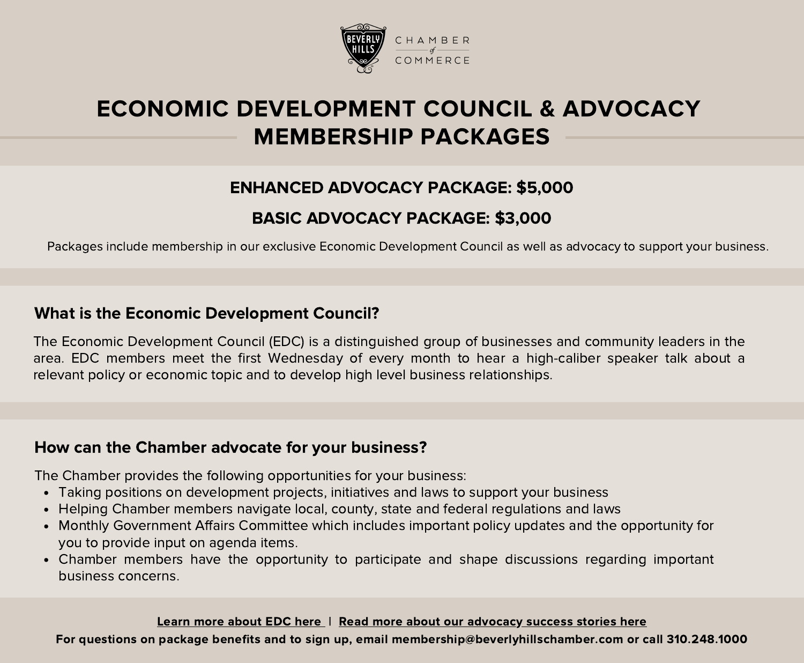

# ECONOMIC DEVELOPMENT COUNCIL & ADVOCACY MEMBERSHIP PACKAGES

## ENHANCED ADVOCACY PACKAGE: \$5,000

### BASIC ADVOCACY PACKAGE: \$3,000

Packages include membership in our exclusive Economic Development Council as well as advocacy to support your business.

#### What is the Economic Development Council?

The Economic Development Council (EDC) is a distinguished group of businesses and community leaders in the area. EDC members meet the first Wednesday of every month to hear a high-caliber speaker talk about a relevant policy or economic topic and to develop high level business relationships.

#### How can the Chamber advocate for your business?

The Chamber provides the following opportunities for your business:

- Taking positions on development projects, initiatives and laws to support your business
- Helping Chamber members navigate local, county, state and federal regulations and laws
- Monthly Government Affairs Committee which includes important policy updates and the opportunity for you to provide input on agenda items.
- Chamber members have the opportunity to participate and shape discussions regarding important business concerns.

Learn more [about](https://www.beverlyhillschamber.com/events/economic-development-council/) EDC here | Read more about our [advocacy](https://www.beverlyhillschamber.com/advocacy/advocacy) success stories here

For questions on package benefits and to sign up, email membership@beverlyhillschamber.com or call 310.248.1000